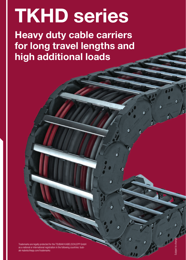# TKHD series

Heavy duty cable carriers for long travel lengths and high additional loads

Trademarks are legally protected for the TSUBAKI KABELSCHLEPP GmbH as a national or international registration in the following countries: tsubaki-kabelschlepp.com/trademarks

Subject to change.

ó

Ō

 $\overline{\mathbf{c}}$ 

Ó

ø

Ō

Ő

ø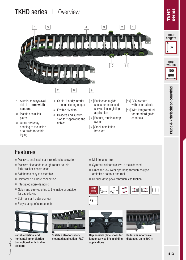

## Features

- Massive, enclosed, stain-repellend stop system
- Massive sidebands through robust double fork-bracket-construction
- Sidebands easy to assemble
- Reinforced pin bore connection
- Integrated noise damping
- Quick and easy opening to the inside or outside for cable laying
- Soil-resistant outer contour
- Easy change of components



Variable vertical and horizontal inner distribution optional with fixable dividers



Suitable also for rollermounted application (RSC)

- Maintenance-free
- Symmetrical force curve in the sideband
- Quiet and low-wear operating through polygonoptimized contour and radii
- Reduce drive power through less friction





Çoo

Replaceable glide shoes for longer service life in gliding applications



Roller chain for travel distances up to 800 m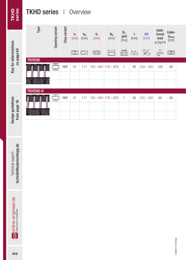# **TKHD**<br>series

# TKHD series | Overview

Key for abbreviations Key for abbreviations on page 64

| Type           | Opening variant | Stay variant | $h_i$<br>[mm] | hg<br>[mm] | $B_i$<br>[mm]                    | $\begin{array}{c} B_k \\ \text{[mm]} \end{array}$ | $B_i$<br>grid<br>[mm] | $[\mathsf{mm}]$ | <b>KR</b><br>[mm]                                                                                                                                                                                                                                                                                                                                   | Addi-<br>tional<br>load<br>$\leq$ [kg/m] | Cable-<br>$d_{\text{max}}$<br>[mm] |  |
|----------------|-----------------|--------------|---------------|------------|----------------------------------|---------------------------------------------------|-----------------------|-----------------|-----------------------------------------------------------------------------------------------------------------------------------------------------------------------------------------------------------------------------------------------------------------------------------------------------------------------------------------------------|------------------------------------------|------------------------------------|--|
|                |                 |              |               |            | $\boxed{\boxed{\longleftarrow}}$ |                                                   |                       |                 | $\begin{picture}(120,110) \put(0,0){\line(1,0){10}} \put(15,0){\line(1,0){10}} \put(15,0){\line(1,0){10}} \put(15,0){\line(1,0){10}} \put(15,0){\line(1,0){10}} \put(15,0){\line(1,0){10}} \put(15,0){\line(1,0){10}} \put(15,0){\line(1,0){10}} \put(15,0){\line(1,0){10}} \put(15,0){\line(1,0){10}} \put(15,0){\line(1,0){10}} \put(15,0){\line$ |                                          | $\boxed{\textcircled{2}}$          |  |
| TKHD90         |                 |              |               |            |                                  |                                                   |                       |                 |                                                                                                                                                                                                                                                                                                                                                     |                                          |                                    |  |
|                |                 | $RMF$ 87     |               |            |                                  | $117$   $100 - 800$   $170 - 870$                 |                       | 90              | $ 250 - 500 $                                                                                                                                                                                                                                                                                                                                       | 100                                      | 69                                 |  |
|                |                 |              |               |            |                                  |                                                   |                       |                 |                                                                                                                                                                                                                                                                                                                                                     |                                          |                                    |  |
| $X - X$        |                 |              |               |            |                                  |                                                   |                       |                 |                                                                                                                                                                                                                                                                                                                                                     |                                          |                                    |  |
| TKHD90-R       |                 |              |               |            |                                  |                                                   |                       |                 |                                                                                                                                                                                                                                                                                                                                                     |                                          |                                    |  |
|                |                 | $RMF$ 87     |               |            |                                  | $117$   $100 - 800$   $170 - 870$                 |                       | 90              | $ 250 - 500 $                                                                                                                                                                                                                                                                                                                                       | 60                                       | 69                                 |  |
|                |                 |              |               |            |                                  |                                                   |                       |                 |                                                                                                                                                                                                                                                                                                                                                     |                                          |                                    |  |
| X<br>$\bullet$ |                 |              |               |            |                                  |                                                   |                       |                 |                                                                                                                                                                                                                                                                                                                                                     |                                          |                                    |  |

technik@kabelschlepp.de technik@kabelschlepp.de Technical support: Technical support:

Design guidelines from page 16

Design guidelines<br>from page 16

<del>≙</del> online-engineer.de technical support: Design guidelines Key for abbreviations TKHD<br>→ Casecare configurate Og online-engineer.de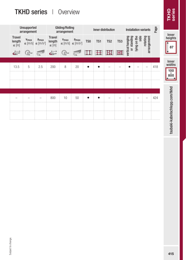# TKHD series | Overview

| <b>TKHD</b><br>series                                           |      |                          |                                                         |                          |                                                                                                                                                                                                                                                                                                                                                                                 |                                                                                                                                                                                                                                                                                                                                                                                                                                                         |                                                                                                                                                                                                                                                                                                                                                                  |                     |                                    | Overview                                                                                                         | $\overline{\phantom{a}}$                                                     | <b>TKHD series</b>                                                                                                                                                                                                                                                                                                                                         |                                 |                                                                            |
|-----------------------------------------------------------------|------|--------------------------|---------------------------------------------------------|--------------------------|---------------------------------------------------------------------------------------------------------------------------------------------------------------------------------------------------------------------------------------------------------------------------------------------------------------------------------------------------------------------------------|---------------------------------------------------------------------------------------------------------------------------------------------------------------------------------------------------------------------------------------------------------------------------------------------------------------------------------------------------------------------------------------------------------------------------------------------------------|------------------------------------------------------------------------------------------------------------------------------------------------------------------------------------------------------------------------------------------------------------------------------------------------------------------------------------------------------------------|---------------------|------------------------------------|------------------------------------------------------------------------------------------------------------------|------------------------------------------------------------------------------|------------------------------------------------------------------------------------------------------------------------------------------------------------------------------------------------------------------------------------------------------------------------------------------------------------------------------------------------------------|---------------------------------|----------------------------------------------------------------------------|
|                                                                 | Page |                          | <b>Installation variants</b>                            |                          |                                                                                                                                                                                                                                                                                                                                                                                 |                                                                                                                                                                                                                                                                                                                                                                                                                                                         | Inner distribution                                                                                                                                                                                                                                                                                                                                               |                     |                                    | Gliding/Rolling<br>arrangement                                                                                   |                                                                              |                                                                                                                                                                                                                                                                                                                                                            | Unsupported<br>arrangement      |                                                                            |
| $\frac{\text{Inner}}{\text{heights}}$<br>${\bf 87}$             |      | rotating<br>arrangement  | vertical hanging<br>or standing<br>lying on the<br>side |                          | TS3                                                                                                                                                                                                                                                                                                                                                                             | TS <sub>2</sub>                                                                                                                                                                                                                                                                                                                                                                                                                                         | TS1                                                                                                                                                                                                                                                                                                                                                              | TS <sub>0</sub>     |                                    | $\begin{array}{ll}\n\textbf{V}_{\text{max}} & \textbf{a}_{\text{max}} \\ \leq [m/s] & \leq [m/s^2]\n\end{array}$ | <b>Travel</b><br>$\begin{array}{ll} \mathsf{length} \\ \leq [m] \end{array}$ | $v_{\text{max}}$ $a_{\text{max}}$<br>$\leq$ [m/s] $\leq$ [m/s <sup>2</sup> ]                                                                                                                                                                                                                                                                               |                                 | $\begin{array}{ll} \text{Travel} \\ \text{length} \\ \leq [m] \end{array}$ |
| Inner<br>widths                                                 | 418  | $\overline{\phantom{a}}$ | $\overline{\phantom{m}}$                                | $\bullet$                | $\begin{picture}(20,20) \put(0,0){\line(1,0){10}} \put(10,0){\line(1,0){10}} \put(10,0){\line(1,0){10}} \put(10,0){\line(1,0){10}} \put(10,0){\line(1,0){10}} \put(10,0){\line(1,0){10}} \put(10,0){\line(1,0){10}} \put(10,0){\line(1,0){10}} \put(10,0){\line(1,0){10}} \put(10,0){\line(1,0){10}} \put(10,0){\line(1,0){10}} \put(10,0){\line(1$<br>$\overline{\phantom{a}}$ | $\begin{picture}(20,20) \put(0,0){\dashbox{0.5}(5,0){ }} \thicklines \put(0,0){\dashbox{0.5}(5,0){ }} \thicklines \put(0,0){\dashbox{0.5}(5,0){ }} \thicklines \put(0,0){\dashbox{0.5}(5,0){ }} \thicklines \put(0,0){\dashbox{0.5}(5,0){ }} \thicklines \put(0,0){\dashbox{0.5}(5,0){ }} \thicklines \put(0,0){\dashbox{0.5}(5,0){ }} \thicklines \put(0,0){\dashbox{0.5}(5,0){ }} \thicklines \put(0,0){\dashbox{0.5}(5,$<br>$\overline{\phantom{m}}$ | $\begin{picture}(20,20) \put(0,0){\line(1,0){10}} \put(15,0){\line(1,0){10}} \put(15,0){\line(1,0){10}} \put(15,0){\line(1,0){10}} \put(15,0){\line(1,0){10}} \put(15,0){\line(1,0){10}} \put(15,0){\line(1,0){10}} \put(15,0){\line(1,0){10}} \put(15,0){\line(1,0){10}} \put(15,0){\line(1,0){10}} \put(15,0){\line(1,0){10}} \put(15,0){\line(1$<br>$\bullet$ | $\Box$<br>$\bullet$ | $\overbrace{\mathbb{G}}^{3}$<br>20 | (Q<br>$\,8\,$                                                                                                    | $\overbrace{\mathbb{C}\mathbb{S}^n}^{\Longleftrightarrow}$<br>200            | $\begin{picture}(120,10) \put(0,0){\line(1,0){10}} \put(15,0){\line(1,0){10}} \put(15,0){\line(1,0){10}} \put(15,0){\line(1,0){10}} \put(15,0){\line(1,0){10}} \put(15,0){\line(1,0){10}} \put(15,0){\line(1,0){10}} \put(15,0){\line(1,0){10}} \put(15,0){\line(1,0){10}} \put(15,0){\line(1,0){10}} \put(15,0){\line(1,0){10}} \put(15,0){\line($<br>2.5 | (C)<br>$\mathbf 5$              | $\overrightarrow{c}$<br>13.5                                               |
| $\begin{array}{ c }\n100 \\ \hline\n800 \\ \hline\n\end{array}$ | .    |                          |                                                         |                          |                                                                                                                                                                                                                                                                                                                                                                                 |                                                                                                                                                                                                                                                                                                                                                                                                                                                         |                                                                                                                                                                                                                                                                                                                                                                  |                     |                                    |                                                                                                                  |                                                                              |                                                                                                                                                                                                                                                                                                                                                            |                                 |                                                                            |
| tsubaki-kabelschlepp.com/tkhd                                   | 424  | $\overline{\phantom{a}}$ | $\overline{\phantom{a}}$                                | $\overline{\phantom{a}}$ | $\overline{\phantom{0}}$                                                                                                                                                                                                                                                                                                                                                        | $\overline{\phantom{a}}$                                                                                                                                                                                                                                                                                                                                                                                                                                | $\bullet$                                                                                                                                                                                                                                                                                                                                                        | $\bullet$           | 50                                 | $10$                                                                                                             | 800                                                                          | $\overline{\phantom{m}}$                                                                                                                                                                                                                                                                                                                                   | $\hspace{0.1mm}-\hspace{0.1mm}$ | $\overline{\phantom{a}}$                                                   |
|                                                                 |      |                          |                                                         |                          |                                                                                                                                                                                                                                                                                                                                                                                 |                                                                                                                                                                                                                                                                                                                                                                                                                                                         |                                                                                                                                                                                                                                                                                                                                                                  |                     |                                    |                                                                                                                  |                                                                              |                                                                                                                                                                                                                                                                                                                                                            |                                 |                                                                            |
|                                                                 |      |                          |                                                         |                          |                                                                                                                                                                                                                                                                                                                                                                                 |                                                                                                                                                                                                                                                                                                                                                                                                                                                         |                                                                                                                                                                                                                                                                                                                                                                  |                     |                                    |                                                                                                                  |                                                                              |                                                                                                                                                                                                                                                                                                                                                            |                                 |                                                                            |
|                                                                 |      |                          |                                                         |                          |                                                                                                                                                                                                                                                                                                                                                                                 |                                                                                                                                                                                                                                                                                                                                                                                                                                                         |                                                                                                                                                                                                                                                                                                                                                                  |                     |                                    |                                                                                                                  |                                                                              |                                                                                                                                                                                                                                                                                                                                                            |                                 |                                                                            |
|                                                                 |      |                          |                                                         |                          |                                                                                                                                                                                                                                                                                                                                                                                 |                                                                                                                                                                                                                                                                                                                                                                                                                                                         |                                                                                                                                                                                                                                                                                                                                                                  |                     |                                    |                                                                                                                  |                                                                              |                                                                                                                                                                                                                                                                                                                                                            |                                 |                                                                            |
|                                                                 |      |                          |                                                         |                          |                                                                                                                                                                                                                                                                                                                                                                                 |                                                                                                                                                                                                                                                                                                                                                                                                                                                         |                                                                                                                                                                                                                                                                                                                                                                  |                     |                                    |                                                                                                                  |                                                                              |                                                                                                                                                                                                                                                                                                                                                            |                                 |                                                                            |
|                                                                 |      |                          |                                                         |                          |                                                                                                                                                                                                                                                                                                                                                                                 |                                                                                                                                                                                                                                                                                                                                                                                                                                                         |                                                                                                                                                                                                                                                                                                                                                                  |                     |                                    |                                                                                                                  |                                                                              |                                                                                                                                                                                                                                                                                                                                                            |                                 |                                                                            |
|                                                                 |      |                          |                                                         |                          |                                                                                                                                                                                                                                                                                                                                                                                 |                                                                                                                                                                                                                                                                                                                                                                                                                                                         |                                                                                                                                                                                                                                                                                                                                                                  |                     |                                    |                                                                                                                  |                                                                              |                                                                                                                                                                                                                                                                                                                                                            |                                 |                                                                            |
|                                                                 |      |                          |                                                         |                          |                                                                                                                                                                                                                                                                                                                                                                                 |                                                                                                                                                                                                                                                                                                                                                                                                                                                         |                                                                                                                                                                                                                                                                                                                                                                  |                     |                                    |                                                                                                                  |                                                                              |                                                                                                                                                                                                                                                                                                                                                            |                                 |                                                                            |
|                                                                 |      |                          |                                                         |                          |                                                                                                                                                                                                                                                                                                                                                                                 |                                                                                                                                                                                                                                                                                                                                                                                                                                                         |                                                                                                                                                                                                                                                                                                                                                                  |                     |                                    |                                                                                                                  |                                                                              |                                                                                                                                                                                                                                                                                                                                                            |                                 | Subject to change.                                                         |
| 415                                                             |      |                          |                                                         |                          |                                                                                                                                                                                                                                                                                                                                                                                 |                                                                                                                                                                                                                                                                                                                                                                                                                                                         |                                                                                                                                                                                                                                                                                                                                                                  |                     |                                    |                                                                                                                  |                                                                              |                                                                                                                                                                                                                                                                                                                                                            |                                 |                                                                            |

**TKHD**<br>series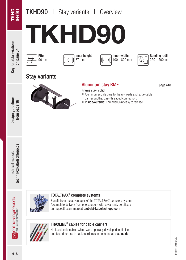# TKHD series

# **TKHD90** | Stay variants | Overview

TKHD9

Key for abbreviations Key for abbreviations on page 64









# Stay variants





#### Aluminum stay RMF............................................... page 418

#### Frame stay, solid

- Aluminum profile bars for heavy loads and large cable carrier widths. Easy threaded connection.
- Inside/outside: Threaded joint easy to release.

technik@kabelschlepp.de technik@kabelschlepp.de Technical support: Technical support:



#### TOTALTRAX® complete systems

Benefit from the advantages of the TOTALTRAX® complete system. A complete delivery from one source – with a warranty certificate on request! Learn more at tsubaki-kabelschlepp.com



#### TRAXLINE® cables for cable carriers

Hi-flex electric cables which were specially developed, optimised and tested for use in cable carriers can be found at traxline.de.

Online-engineer.de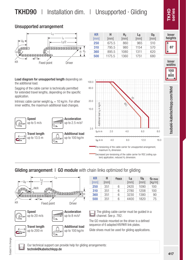# **TKHD90** | Installation dim. | Unsupported  $\cdot$  Gliding

#### Unsupported arrangement



Load diagram for unsupported length depending on

Sagging of the cable carrier is technically permitted for extended travel lengths, depending on the specific

Intrinsic cable carrier weight  $q_k = 10$  kg/m. For other inner widths, the maximum additional load changes.

the additional load.

Speed up to 5 m/s

Travel length up to 13.5 m

application.

| KR   | н      | H,   | Lв   | Uв   |
|------|--------|------|------|------|
| [mm] | [mm]   | [mm] | [mm] | [mm] |
| 250  | 675.5  | 860  | 965  | 510  |
| 310  | 795.5  | 980  | 1154 | 570  |
| 360  | 895.5  | 1080 | 1311 | 620  |
| 500  | 1175.5 | 1360 | 1751 | 680  |





Decreased pre-tensioning of the cable carrier for RSC (rolling system) application, reduced H<sub>z</sub> dimension.

#### Gliding arrangement | GO module with chain links optimized for gliding

Acceleration up to 2.5 m/s2

Additional load up to 100 kg/m



| <b>KR</b><br>[mm] | н<br>[mm] | <b>NRKR</b> | Lв<br>[mm] | U <sub>B</sub><br>[mm] | $q_{z}$ max<br>[kq/m] |
|-------------------|-----------|-------------|------------|------------------------|-----------------------|
| 250               | 351       | ჩ           | 2420       | 1090                   | 100                   |
| 310               | 351       | 6           | 2780       | 1208                   | 100                   |
| 360               | 351       | 6           | 3230       | 1380                   | 90                    |
| 500               | 351       | հ           | 4400       | 1820                   | 75                    |

The gliding cable carrier must be guided in a channel. See p. 782.

The GO module mounted on the driver is a defined sequence of 6 adapted KR/RKR link plates.

Glide shoes must be used for gliding applications.

**TKHL** 

Inner heights TKHD<br>
IMPERIES<br>
IMPERIES<br>
IMPERIES<br>
UNDER<br>
UNDER<br>
UNDER<br>
UNDER<br>
UNDER<br>
UNDER<br>
UNDER<br>
UNDER<br>
UNDER<br>
UNDER<br>
UNDER<br>
UNDER<br>
UNDER<br>
UNDER<br>
UNDER 87

Inner<br>widths 100  $-208$ 

Subject to change. Subject to change.

Our technical support can provide help for gliding arrangements: technik@kabelschlepp.de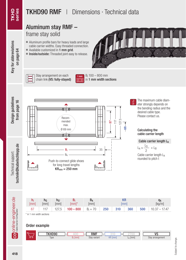# TKHD90 RMF | Dimensions · Technical data

## Aluminum stay RMF – frame stay solid

- Aluminum profile bars for heavy loads and large cable carrier widths. Easy threaded connection.
- $\blacksquare$  Available customized in **1 mm grid.**
- Inside/outside: Threaded joint easy to release.



Key for abbreviations Key for abbreviations on page 64



Stay arrangement on each chain link (VS: fully-stayed)



Bi 100 – 800 mm in 1 mm width sections





The maximum cable diameter strongly depends on the bending radius and the desired cable type. Please contact us.

#### Calculating the cable carrier length

Cable carrier length Lk

 $L_k \approx \frac{L_S}{2} + L_B$ 2

Cable carrier length Lk rounded to pitch t

Technical support:

Technical support:

| lmn | — ∪ا اللهي |             |                                  |     |     |     |     |                  |
|-----|------------|-------------|----------------------------------|-----|-----|-----|-----|------------------|
| 87  | . 0        | $100 - 800$ | $B_i + 70$<br>the control of the | 250 | 310 | 360 | 500 | ' – 17 47<br>137 |

\* in 1 mm width sections

#### Order example

| - | TKHD90      | $\sim$               | <b>RMF</b>   |                                | -                   | $\overline{\phantom{a}}$ |
|---|-------------|----------------------|--------------|--------------------------------|---------------------|--------------------------|
|   | <b>Type</b> | $\mathcal{A}_i$ [mm] | Stay variant | <b>VD</b><br><i>Imm</i><br>'n. | L <sub>k</sub> [mm] | Stay arrangement         |

Subject to change. Subject to change.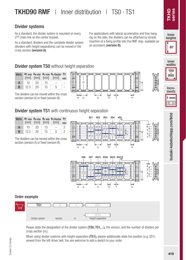# **TKHD90 RMF**  $\parallel$  Inner distribution  $\parallel$  TS0  $\cdot$  TS1

#### Divider systems

As a standard, the divider system is mounted on every 2<sup>nd</sup> chain link on the center bracket

As a standard, dividers and the complete divider system (dividers with height separations) can be moved in the cross section (version A).

**Divider system TS0** without height separation

[mm] min For applications with lateral acceleration and free hanging on the side, the dividers can be attached by simple insertion of a fixing profile into the RMF stay, available as an accessory (version B).

## **LKHD** eries

# Inner heights ments Table 1997<br>
THAD Series The Series Series<br>
The Series Table 100<br>
The Series Table 100<br>
The Series Table 100<br>
The Series Table 100<br>
The Series Table 100<br>
The Series Table 100<br>
The Series Table 100<br>
The Series Table 10 87

Inner widths

> 100  $-208$

Incre-

1 mm

 $a<sub>1</sub>$ 

KR

**B** 12.5 20 15 5 = The dividers can be moved within the cross section (version A) or fixed (version B).

Vers.  $a_T$  min  $a_X$  min  $a_C$  min  $a_X$  Raster n<sub>T</sub>

**A** 10  $\pm$  20  $\pm$  15  $\pm$  -  $\pm$  -

[mm]

[mm] [mm]

#### Divider system TS1 with continuous height separation

a<sub>x</sub>

87

 $a<sub>T</sub>$ 

 $a_c$ 

|   |                |                      |          | Vers. $aT$ min $ax$ min $ac$ min $ax$ Raster $nT$<br>$[mm]$ $[mm]$ $[mm]$ $[mm]$ | min |
|---|----------------|----------------------|----------|----------------------------------------------------------------------------------|-----|
| A |                | $10 \div 20 \div 15$ |          | $\sim$                                                                           | :り  |
| R | $12.5 \div 20$ |                      | $\pm$ 15 | -5                                                                               | : 2 |

The dividers can be moved within the cross section (version A) or fixed (version B).



5

20

 $\left| \rule{0.2cm}{0.4cm} \right|$ 



#### Order example



Please state the designation of the divider system (TS0, TS1,...), the version, and the number of dividers per  $cross section$  [n $<sub>T</sub>$ ].</sub>

When using divider systems with height separation (TS1), please additionally state the position (e.g. VD1) viewed from the left driver belt. You are welcome to add a sketch to your order.

Subject to change. Subject to change.

ॎ tsubaki-kabelschlepp.com/tkhd 419tsubaki-kabelschlepp.com/tkhd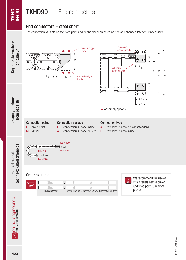# TKHD90 | End connectors

#### End connectors – steel short

The connection variants on the fixed point and on the driver an be combined and changed later on, if necessary.

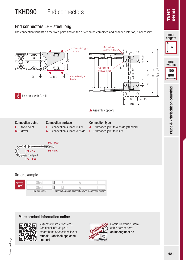# TKHD90 | End connectors

#### End connectors LF – steel long

The connection variants on the fixed point and on the driver an be combined and changed later on, if necessary.



#### Order example



#### More product information online



Assembly instructions etc.: Additional info via your smartphone or check online at tsubaki-kabelschlepp.com/ support



Configure your custom cable carrier here: onlineengineer.de

Inner

**TKHD**<br>series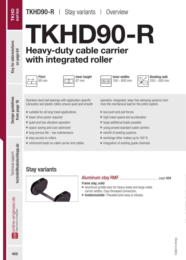# **TKHD90-R** | Stay variants | Overview

Key for abbreviations ev for abbreviations on page 64

> Design guidelines from page 16

**Design guidelines** from page 16

# TKHD90-R Heavy-duty cable carrier with integrated roller





Inner height 87 mm



Inner widths 100 – 800 mm



Bending radii  $250 - 500$  mm

Stainless steel ball bearings with application-specific lubrication and plastic rollers ensure quiet and smooth

- suitable for all long travel applications
- lower drive power required
- quiet and low-vibration operation
- space-saving and cost-optimized
- $\blacksquare$  long service life low maintenance
- easy access to rollers

Stay variants

■ minimized loads on cable carrier and cables

operation. Integrated, wear-free damping systems minimize the mechanical load for the entire system.

- low push and pull forces
- high travel speed and acceleration
- large additional loads possible
- using proved standard cable carriers
- retrofit of existing systems
- exchange other makes up to 100 %
- integration of existing guide channels

# technik@kabelschlepp.de technik@kabelschlepp.de Technical support: Technical support:



#### Aluminum stay RMF............................................... page 424

#### Frame stay, solid

- Aluminum profile bars for heavy loads and large cable carrier widths. Easy threaded connection.
- Inside/outside: Threaded joint easy to release.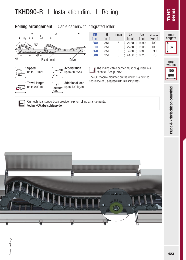# **TKHD90-R** | Installation dim. | Rolling

#### Rolling arrangement | Cable carrierwith integrated roller





Inner heights

**TKHD**<br>series

TKHD<br>
IMPERIES<br>
IMPERIES<br>
IMPERIES<br>
UNDER<br>
UNDER<br>
UNDER<br>
UNDER<br>
UNDER<br>
UNDER<br>
UNDER<br>
UNDER<br>
UNDER<br>
UNDER<br>
UNDER<br>
UNDER<br>
UNDER<br>
UNDER<br>
UNDER

87

Inner<br>widths

100  $-208$ 

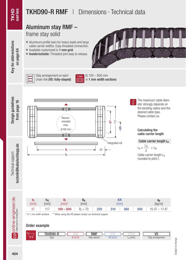Key for abbreviations on page 64

Key for abbreviations

# TKHD90-R RMF | Dimensions · Technical data

### Aluminum stay RMF – frame stay solid

- Aluminum profile bars for heavy loads and large cable carrier widths. Easy threaded connection.
- $\blacksquare$  Available customized in **1 mm grid**.
- Inside/outside: Threaded joint easy to release





Stay arrangement on each chain link (VS: fully-stayed)



Bi 100 – 800 mm in 1 mm width sections



Technical support: technik@kabelschlepp.de

technik@kabelschlepp.de Technical support:



The maximum cable diameter strongly depends on the bending radius and the desired cable type. Please contact us.

#### Calculating the cable carrier length

Cable carrier length Lk

 $L_k \approx \frac{L_S}{2} + L_B$ 2

Cable carrier length L<sub>k</sub> rounded to pitch t







Order example



Online-engineer.de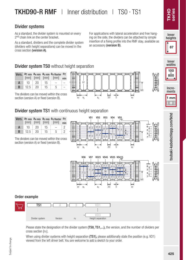# **TKHD90-R RMF**  $\parallel$  Inner distribution  $\parallel$  TS0  $\cdot$  TS1

#### Divider systems

As a standard, the divider system is mounted on every 2<sup>nd</sup> chain link on the center bracket

As a standard, dividers and the complete divider system (dividers with height separations) can be moved in the cross section (version A).

For applications with lateral acceleration and free hanging on the side, the dividers can be attached by simple insertion of a fixing profile into the RMF stay, available as an accessory (version B).

## eries **LKHL**



Inner widths

> 100  $-208$

Incre-

1 mm

⇔⊺

#### **Divider system TS0** without height separation

|              |               |                      |       | Vers. $aT$ min $ax$ min $ac$ min $ax$ Raster $nT$<br>$[mm]$ $[mm]$ $[mm]$ $[mm]$ $min$ |  |
|--------------|---------------|----------------------|-------|----------------------------------------------------------------------------------------|--|
| A            |               | $10 \div 20 \div 15$ |       |                                                                                        |  |
| <sub>B</sub> | $12.5 \pm 20$ |                      | $-15$ |                                                                                        |  |



The dividers can be moved within the cross section (version A) or fixed (version B).

#### Divider system TS1 with continuous height separation

|   |               |                      |        | Vers. $aT$ min $ax$ min $ac$ min $ax$ Raster $nT$<br>$[mm]$ $[mm]$ $[mm]$ $[mm]$ $min$ |  |
|---|---------------|----------------------|--------|----------------------------------------------------------------------------------------|--|
| A |               | $10 \div 20 \div 15$ |        |                                                                                        |  |
| R | $12.5 \pm 20$ |                      | $15 -$ | -5                                                                                     |  |

The dividers can be moved within the cross section (version A) or fixed (version B).





#### Order example



Please state the designation of the divider system (TS0, TS1,...), the version, and the number of dividers per  $cross section$  [n $<sub>T</sub>$ ].</sub>

When using divider systems with height separation (TS1), please additionally state the position (e.g. VD1) viewed from the left driver belt. You are welcome to add a sketch to your order.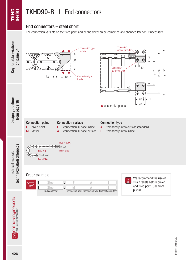# TKHD90-R | End connectors

#### End connectors – steel short

The connection variants on the fixed point and on the driver an be combined and changed later on, if necessary.